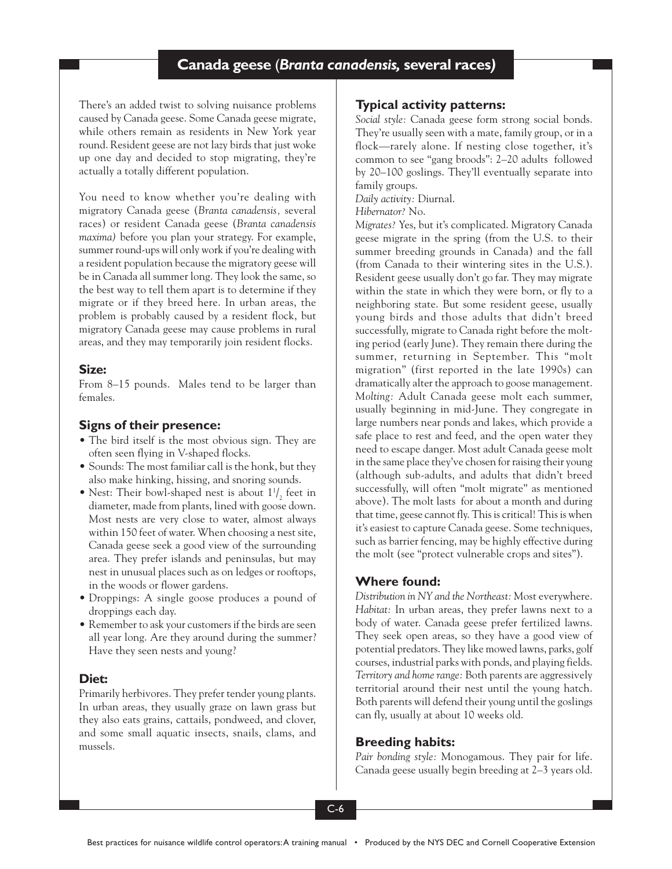# **Canada geese Canada geese** (*Branta canadensis,* **several races***)*

There's an added twist to solving nuisance problems caused by Canada geese. Some Canada geese migrate, while others remain as residents in New York year round. Resident geese are not lazy birds that just woke up one day and decided to stop migrating, they're actually a totally different population.

You need to know whether you're dealing with migratory Canada geese (*Branta canadensis,* several races) or resident Canada geese (*Branta canadensis maxima)* before you plan your strategy. For example, summer round-ups will only work if you're dealing with a resident population because the migratory geese will be in Canada all summer long. They look the same, so the best way to tell them apart is to determine if they migrate or if they breed here. In urban areas, the problem is probably caused by a resident flock, but migratory Canada geese may cause problems in rural areas, and they may temporarily join resident flocks.

### **Size:**

From 8–15 pounds. Males tend to be larger than females.

# **Signs of their presence:**

- The bird itself is the most obvious sign. They are often seen flying in V-shaped flocks.
- Sounds: The most familiar call is the honk, but they also make hinking, hissing, and snoring sounds.
- Nest: Their bowl-shaped nest is about  $1\frac{1}{2}$  feet in diameter, made from plants, lined with goose down. Most nests are very close to water, almost always within 150 feet of water. When choosing a nest site, Canada geese seek a good view of the surrounding area. They prefer islands and peninsulas, but may nest in unusual places such as on ledges or rooftops, in the woods or flower gardens.
- Droppings: A single goose produces a pound of droppings each day.
- Remember to ask your customers if the birds are seen all year long. Are they around during the summer? Have they seen nests and young?

### **Diet:**

Primarily herbivores. They prefer tender young plants. In urban areas, they usually graze on lawn grass but they also eats grains, cattails, pondweed, and clover, and some small aquatic insects, snails, clams, and mussels.

# **Typical activity patterns:**

*Social style:* Canada geese form strong social bonds. They're usually seen with a mate, family group, or in a flock—rarely alone. If nesting close together, it's common to see "gang broods": 2–20 adults followed by 20–100 goslings. They'll eventually separate into family groups.

*Daily activity:* Diurnal.

*Hibernator?* No.

*Migrates?* Yes, but it's complicated. Migratory Canada geese migrate in the spring (from the U.S. to their summer breeding grounds in Canada) and the fall (from Canada to their wintering sites in the U.S.). Resident geese usually don't go far. They may migrate within the state in which they were born, or fly to a neighboring state. But some resident geese, usually young birds and those adults that didn't breed successfully, migrate to Canada right before the molting period (early June). They remain there during the summer, returning in September. This "molt migration" (first reported in the late 1990s) can dramatically alter the approach to goose management. *Molting:* Adult Canada geese molt each summer, usually beginning in mid-June. They congregate in large numbers near ponds and lakes, which provide a safe place to rest and feed, and the open water they need to escape danger. Most adult Canada geese molt in the same place they've chosen for raising their young (although sub-adults, and adults that didn't breed successfully, will often "molt migrate" as mentioned above). The molt lasts for about a month and during that time, geese cannot fly. This is critical! This is when it's easiest to capture Canada geese. Some techniques, such as barrier fencing, may be highly effective during the molt (see "protect vulnerable crops and sites").

### **Where found:**

*Distribution in NY and the Northeast:* Most everywhere. *Habitat:* In urban areas, they prefer lawns next to a body of water. Canada geese prefer fertilized lawns. They seek open areas, so they have a good view of potential predators. They like mowed lawns, parks, golf courses, industrial parks with ponds, and playing fields. *Territory and home range:* Both parents are aggressively territorial around their nest until the young hatch. Both parents will defend their young until the goslings can fly, usually at about 10 weeks old.

### **Breeding habits:**

*Pair bonding style:* Monogamous. They pair for life. Canada geese usually begin breeding at 2–3 years old.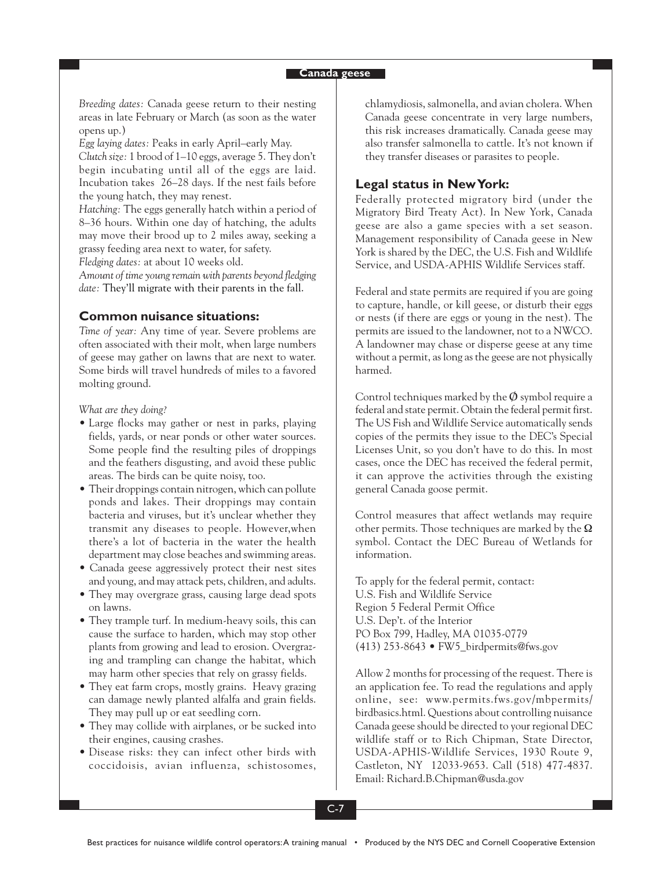*Breeding dates:* Canada geese return to their nesting areas in late February or March (as soon as the water opens up.)

*Egg laying dates:* Peaks in early April–early May. *Clutch size:* 1 brood of 1–10 eggs, average 5. They don't begin incubating until all of the eggs are laid. Incubation takes 26–28 days. If the nest fails before the young hatch, they may renest.

*Hatching:* The eggs generally hatch within a period of 8–36 hours. Within one day of hatching, the adults may move their brood up to 2 miles away, seeking a grassy feeding area next to water, for safety.

*Fledging dates:* at about 10 weeks old.

*Amount of time young remain with parents beyond fledging date:* They'll migrate with their parents in the fall.

#### **Common nuisance situations:**

*Time of year:* Any time of year. Severe problems are often associated with their molt, when large numbers of geese may gather on lawns that are next to water. Some birds will travel hundreds of miles to a favored molting ground.

*What are they doing?*

- Large flocks may gather or nest in parks, playing fields, yards, or near ponds or other water sources. Some people find the resulting piles of droppings and the feathers disgusting, and avoid these public areas. The birds can be quite noisy, too.
- Their droppings contain nitrogen, which can pollute ponds and lakes. Their droppings may contain bacteria and viruses, but it's unclear whether they transmit any diseases to people. However,when there's a lot of bacteria in the water the health department may close beaches and swimming areas.
- Canada geese aggressively protect their nest sites and young, and may attack pets, children, and adults.
- They may overgraze grass, causing large dead spots on lawns.
- They trample turf. In medium-heavy soils, this can cause the surface to harden, which may stop other plants from growing and lead to erosion. Overgrazing and trampling can change the habitat, which may harm other species that rely on grassy fields.
- They eat farm crops, mostly grains. Heavy grazing can damage newly planted alfalfa and grain fields. They may pull up or eat seedling corn.
- They may collide with airplanes, or be sucked into their engines, causing crashes.
- Disease risks: they can infect other birds with coccidoisis, avian influenza, schistosomes,

chlamydiosis, salmonella, and avian cholera. When Canada geese concentrate in very large numbers, this risk increases dramatically. Canada geese may also transfer salmonella to cattle. It's not known if they transfer diseases or parasites to people.

#### **Legal status in New York:**

Federally protected migratory bird (under the Migratory Bird Treaty Act). In New York, Canada geese are also a game species with a set season. Management responsibility of Canada geese in New York is shared by the DEC, the U.S. Fish and Wildlife Service, and USDA-APHIS Wildlife Services staff.

Federal and state permits are required if you are going to capture, handle, or kill geese, or disturb their eggs or nests (if there are eggs or young in the nest). The permits are issued to the landowner, not to a NWCO. A landowner may chase or disperse geese at any time without a permit, as long as the geese are not physically harmed.

Control techniques marked by the  $\varphi$  symbol require a federal and state permit. Obtain the federal permit first. The US Fish and Wildlife Service automatically sends copies of the permits they issue to the DEC's Special Licenses Unit, so you don't have to do this. In most cases, once the DEC has received the federal permit, it can approve the activities through the existing general Canada goose permit.

Control measures that affect wetlands may require other permits. Those techniques are marked by the  $\Omega$ symbol. Contact the DEC Bureau of Wetlands for information.

To apply for the federal permit, contact: U.S. Fish and Wildlife Service Region 5 Federal Permit Office U.S. Dep't. of the Interior PO Box 799, Hadley, MA 01035-0779 (413) 253-8643 • FW5\_birdpermits@fws.gov

Allow 2 months for processing of the request. There is an application fee. To read the regulations and apply online, see: www.permits.fws.gov/mbpermits/ birdbasics.html. Questions about controlling nuisance Canada geese should be directed to your regional DEC wildlife staff or to Rich Chipman, State Director, USDA-APHIS-Wildlife Services, 1930 Route 9, Castleton, NY 12033-9653. Call (518) 477-4837. Email: Richard.B.Chipman@usda.gov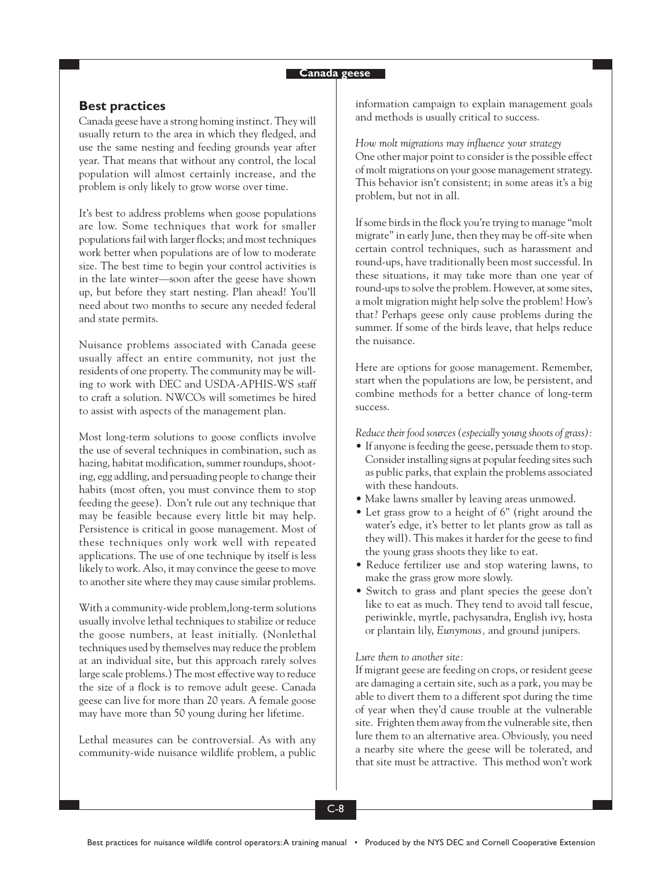### **Best practices**

Canada geese have a strong homing instinct. They will usually return to the area in which they fledged, and use the same nesting and feeding grounds year after year. That means that without any control, the local population will almost certainly increase, and the problem is only likely to grow worse over time.

It's best to address problems when goose populations are low. Some techniques that work for smaller populations fail with larger flocks; and most techniques work better when populations are of low to moderate size. The best time to begin your control activities is in the late winter—soon after the geese have shown up, but before they start nesting. Plan ahead! You'll need about two months to secure any needed federal and state permits.

Nuisance problems associated with Canada geese usually affect an entire community, not just the residents of one property. The community may be willing to work with DEC and USDA-APHIS-WS staff to craft a solution. NWCOs will sometimes be hired to assist with aspects of the management plan.

Most long-term solutions to goose conflicts involve the use of several techniques in combination, such as hazing, habitat modification, summer roundups, shooting, egg addling, and persuading people to change their habits (most often, you must convince them to stop feeding the geese). Don't rule out any technique that may be feasible because every little bit may help. Persistence is critical in goose management. Most of these techniques only work well with repeated applications. The use of one technique by itself is less likely to work. Also, it may convince the geese to move to another site where they may cause similar problems.

With a community-wide problem,long-term solutions usually involve lethal techniques to stabilize or reduce the goose numbers, at least initially. (Nonlethal techniques used by themselves may reduce the problem at an individual site, but this approach rarely solves large scale problems.) The most effective way to reduce the size of a flock is to remove adult geese. Canada geese can live for more than 20 years. A female goose may have more than 50 young during her lifetime.

Lethal measures can be controversial. As with any community-wide nuisance wildlife problem, a public information campaign to explain management goals and methods is usually critical to success.

*How molt migrations may influence your strategy* One other major point to consider is the possible effect of molt migrations on your goose management strategy. This behavior isn't consistent; in some areas it's a big problem, but not in all.

If some birds in the flock you're trying to manage "molt migrate" in early June, then they may be off-site when certain control techniques, such as harassment and round-ups, have traditionally been most successful. In these situations, it may take more than one year of round-ups to solve the problem. However, at some sites, a molt migration might help solve the problem! How's that? Perhaps geese only cause problems during the summer. If some of the birds leave, that helps reduce the nuisance.

Here are options for goose management. Remember, start when the populations are low, be persistent, and combine methods for a better chance of long-term success.

*Reduce their food sources (especially young shoots of grass):*

- If anyone is feeding the geese, persuade them to stop. Consider installing signs at popular feeding sites such as public parks, that explain the problems associated with these handouts.
- Make lawns smaller by leaving areas unmowed.
- Let grass grow to a height of 6" (right around the water's edge, it's better to let plants grow as tall as they will). This makes it harder for the geese to find the young grass shoots they like to eat.
- Reduce fertilizer use and stop watering lawns, to make the grass grow more slowly.
- Switch to grass and plant species the geese don't like to eat as much. They tend to avoid tall fescue, periwinkle, myrtle, pachysandra, English ivy, hosta or plantain lily, *Eunymous,* and ground junipers.

#### *Lure them to another site:*

If migrant geese are feeding on crops, or resident geese are damaging a certain site, such as a park, you may be able to divert them to a different spot during the time of year when they'd cause trouble at the vulnerable site. Frighten them away from the vulnerable site, then lure them to an alternative area. Obviously, you need a nearby site where the geese will be tolerated, and that site must be attractive. This method won't work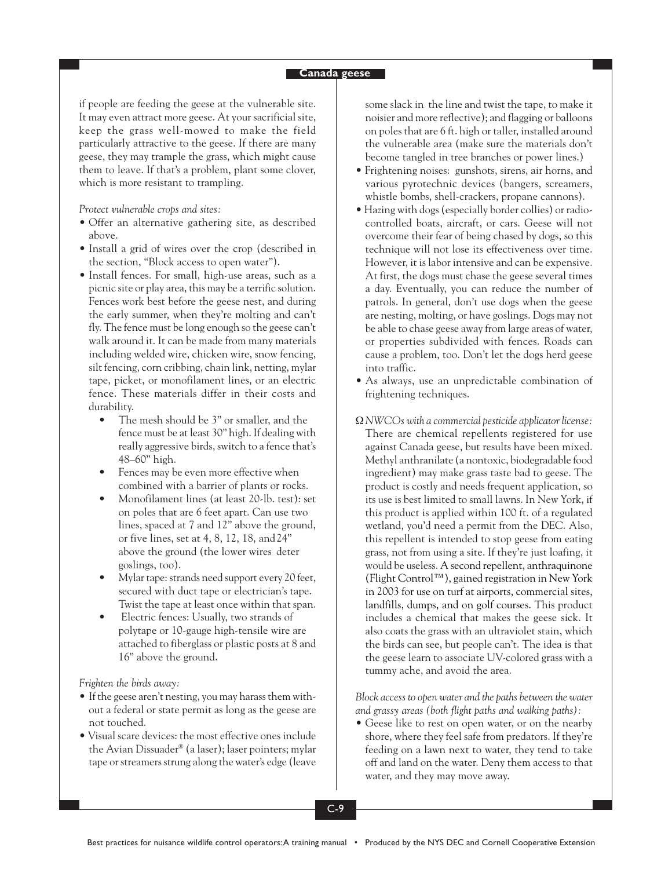if people are feeding the geese at the vulnerable site. It may even attract more geese. At your sacrificial site, keep the grass well-mowed to make the field particularly attractive to the geese. If there are many geese, they may trample the grass, which might cause them to leave. If that's a problem, plant some clover, which is more resistant to trampling.

*Protect vulnerable crops and sites:*

- Offer an alternative gathering site, as described above.
- Install a grid of wires over the crop (described in the section, "Block access to open water").
- Install fences. For small, high-use areas, such as a picnic site or play area, this may be a terrific solution. Fences work best before the geese nest, and during the early summer, when they're molting and can't fly. The fence must be long enough so the geese can't walk around it. It can be made from many materials including welded wire, chicken wire, snow fencing, silt fencing, corn cribbing, chain link, netting, mylar tape, picket, or monofilament lines, or an electric fence. These materials differ in their costs and durability.
	- The mesh should be 3" or smaller, and the fence must be at least 30" high. If dealing with really aggressive birds, switch to a fence that's 48–60" high.
	- Fences may be even more effective when combined with a barrier of plants or rocks.
	- Monofilament lines (at least 20-lb. test): set on poles that are 6 feet apart. Can use two lines, spaced at 7 and 12" above the ground, or five lines, set at 4, 8, 12, 18, and24" above the ground (the lower wires deter goslings, too).
	- Mylar tape: strands need support every 20 feet, secured with duct tape or electrician's tape. Twist the tape at least once within that span.
	- Electric fences: Usually, two strands of polytape or 10-gauge high-tensile wire are attached to fiberglass or plastic posts at 8 and 16" above the ground.

*Frighten the birds away:*

- If the geese aren't nesting, you may harass them without a federal or state permit as long as the geese are not touched.
- Visual scare devices: the most effective ones include the Avian Dissuader® (a laser); laser pointers; mylar tape or streamers strung along the water's edge (leave

some slack in the line and twist the tape, to make it noisier and more reflective); and flagging or balloons on poles that are 6 ft. high or taller, installed around the vulnerable area (make sure the materials don't become tangled in tree branches or power lines.)

- Frightening noises: gunshots, sirens, air horns, and various pyrotechnic devices (bangers, screamers, whistle bombs, shell-crackers, propane cannons).
- Hazing with dogs (especially border collies) or radiocontrolled boats, aircraft, or cars. Geese will not overcome their fear of being chased by dogs, so this technique will not lose its effectiveness over time. However, it is labor intensive and can be expensive. At first, the dogs must chase the geese several times a day. Eventually, you can reduce the number of patrols. In general, don't use dogs when the geese are nesting, molting, or have goslings. Dogs may not be able to chase geese away from large areas of water, or properties subdivided with fences. Roads can cause a problem, too. Don't let the dogs herd geese into traffic.
- As always, use an unpredictable combination of frightening techniques.
- Ω*NWCOs with a commercial pesticide applicator license:* There are chemical repellents registered for use against Canada geese, but results have been mixed. Methyl anthranilate (a nontoxic, biodegradable food ingredient) may make grass taste bad to geese. The product is costly and needs frequent application, so its use is best limited to small lawns. In New York, if this product is applied within 100 ft. of a regulated wetland, you'd need a permit from the DEC. Also, this repellent is intended to stop geese from eating grass, not from using a site. If they're just loafing, it would be useless. A second repellent, anthraquinone (Flight Control™), gained registration in New York in 2003 for use on turf at airports, commercial sites, landfills, dumps, and on golf courses. This product includes a chemical that makes the geese sick. It also coats the grass with an ultraviolet stain, which the birds can see, but people can't. The idea is that the geese learn to associate UV-colored grass with a tummy ache, and avoid the area.

*Block access to open water and the paths between the water and grassy areas (both flight paths and walking paths):*

• Geese like to rest on open water, or on the nearby shore, where they feel safe from predators. If they're feeding on a lawn next to water, they tend to take off and land on the water. Deny them access to that water, and they may move away.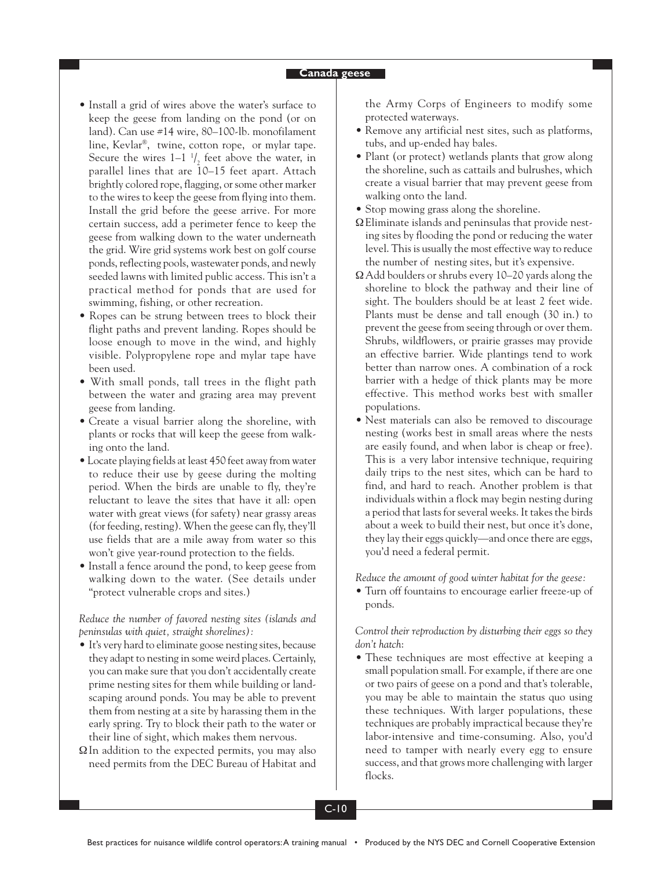- Install a grid of wires above the water's surface to keep the geese from landing on the pond (or on land). Can use #14 wire, 80–100-lb. monofilament line, Kevlar®, twine, cotton rope, or mylar tape. Secure the wires  $1-1$   $\frac{1}{2}$  feet above the water, in parallel lines that are 10–15 feet apart. Attach brightly colored rope, flagging, or some other marker to the wires to keep the geese from flying into them. Install the grid before the geese arrive. For more certain success, add a perimeter fence to keep the geese from walking down to the water underneath the grid. Wire grid systems work best on golf course ponds, reflecting pools, wastewater ponds, and newly seeded lawns with limited public access. This isn't a practical method for ponds that are used for swimming, fishing, or other recreation.
- Ropes can be strung between trees to block their flight paths and prevent landing. Ropes should be loose enough to move in the wind, and highly visible. Polypropylene rope and mylar tape have been used.
- With small ponds, tall trees in the flight path between the water and grazing area may prevent geese from landing.
- Create a visual barrier along the shoreline, with plants or rocks that will keep the geese from walking onto the land.
- Locate playing fields at least 450 feet away from water to reduce their use by geese during the molting period. When the birds are unable to fly, they're reluctant to leave the sites that have it all: open water with great views (for safety) near grassy areas (for feeding, resting). When the geese can fly, they'll use fields that are a mile away from water so this won't give year-round protection to the fields.
- Install a fence around the pond, to keep geese from walking down to the water. (See details under "protect vulnerable crops and sites.)

*Reduce the number of favored nesting sites (islands and peninsulas with quiet, straight shorelines):*

- It's very hard to eliminate goose nesting sites, because they adapt to nesting in some weird places. Certainly, you can make sure that you don't accidentally create prime nesting sites for them while building or landscaping around ponds. You may be able to prevent them from nesting at a site by harassing them in the early spring. Try to block their path to the water or their line of sight, which makes them nervous.
- $\Omega$ In addition to the expected permits, you may also need permits from the DEC Bureau of Habitat and

the Army Corps of Engineers to modify some protected waterways.

- Remove any artificial nest sites, such as platforms, tubs, and up-ended hay bales.
- Plant (or protect) wetlands plants that grow along the shoreline, such as cattails and bulrushes, which create a visual barrier that may prevent geese from walking onto the land.
- Stop mowing grass along the shoreline.
- ΩEliminate islands and peninsulas that provide nesting sites by flooding the pond or reducing the water level. This is usually the most effective way to reduce the number of nesting sites, but it's expensive.
- ΩAdd boulders or shrubs every 10–20 yards along the shoreline to block the pathway and their line of sight. The boulders should be at least 2 feet wide. Plants must be dense and tall enough (30 in.) to prevent the geese from seeing through or over them. Shrubs, wildflowers, or prairie grasses may provide an effective barrier. Wide plantings tend to work better than narrow ones. A combination of a rock barrier with a hedge of thick plants may be more effective. This method works best with smaller populations.
- **•** Nest materials can also be removed to discourage nesting (works best in small areas where the nests are easily found, and when labor is cheap or free). This is a very labor intensive technique, requiring daily trips to the nest sites, which can be hard to find, and hard to reach. Another problem is that individuals within a flock may begin nesting during a period that lasts for several weeks. It takes the birds about a week to build their nest, but once it's done, they lay their eggs quickly—and once there are eggs, you'd need a federal permit.

*Reduce the amount of good winter habitat for the geese:*

• Turn off fountains to encourage earlier freeze-up of ponds.

*Control their reproduction by disturbing their eggs so they don't hatch*:

• These techniques are most effective at keeping a small population small. For example, if there are one or two pairs of geese on a pond and that's tolerable, you may be able to maintain the status quo using these techniques. With larger populations, these techniques are probably impractical because they're labor-intensive and time-consuming. Also, you'd need to tamper with nearly every egg to ensure success, and that grows more challenging with larger flocks.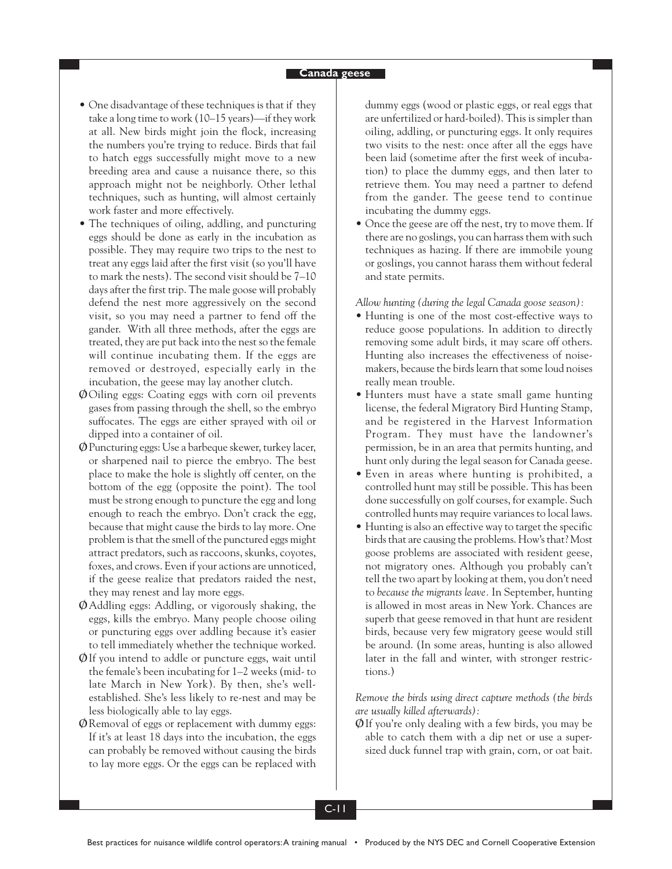- One disadvantage of these techniques is that if they take a long time to work (10–15 years)—if they work at all. New birds might join the flock, increasing the numbers you're trying to reduce. Birds that fail to hatch eggs successfully might move to a new breeding area and cause a nuisance there, so this approach might not be neighborly. Other lethal techniques, such as hunting, will almost certainly work faster and more effectively.
- The techniques of oiling, addling, and puncturing eggs should be done as early in the incubation as possible. They may require two trips to the nest to treat any eggs laid after the first visit (so you'll have to mark the nests). The second visit should be 7–10 days after the first trip. The male goose will probably defend the nest more aggressively on the second visit, so you may need a partner to fend off the gander. With all three methods, after the eggs are treated, they are put back into the nest so the female will continue incubating them. If the eggs are removed or destroyed, especially early in the incubation, the geese may lay another clutch.
- **Ø**Oiling eggs: Coating eggs with corn oil prevents gases from passing through the shell, so the embryo suffocates. The eggs are either sprayed with oil or dipped into a container of oil.
- **Ø**Puncturing eggs: Use a barbeque skewer, turkey lacer, or sharpened nail to pierce the embryo. The best place to make the hole is slightly off center, on the bottom of the egg (opposite the point). The tool must be strong enough to puncture the egg and long enough to reach the embryo. Don't crack the egg, because that might cause the birds to lay more. One problem is that the smell of the punctured eggs might attract predators, such as raccoons, skunks, coyotes, foxes, and crows. Even if your actions are unnoticed, if the geese realize that predators raided the nest, they may renest and lay more eggs.
- **Ø**Addling eggs: Addling, or vigorously shaking, the eggs, kills the embryo. Many people choose oiling or puncturing eggs over addling because it's easier to tell immediately whether the technique worked.
- **Ø**If you intend to addle or puncture eggs, wait until the female's been incubating for 1–2 weeks (mid- to late March in New York). By then, she's wellestablished. She's less likely to re-nest and may be less biologically able to lay eggs.
- **Ø**Removal of eggs or replacement with dummy eggs: If it's at least 18 days into the incubation, the eggs can probably be removed without causing the birds to lay more eggs. Or the eggs can be replaced with

dummy eggs (wood or plastic eggs, or real eggs that are unfertilized or hard-boiled). This is simpler than oiling, addling, or puncturing eggs. It only requires two visits to the nest: once after all the eggs have been laid (sometime after the first week of incubation) to place the dummy eggs, and then later to retrieve them. You may need a partner to defend from the gander. The geese tend to continue incubating the dummy eggs.

• Once the geese are off the nest, try to move them. If there are no goslings, you can harrass them with such techniques as hazing. If there are immobile young or goslings, you cannot harass them without federal and state permits.

*Allow hunting (during the legal Canada goose season):*

- **•** Hunting is one of the most cost-effective ways to reduce goose populations. In addition to directly removing some adult birds, it may scare off others. Hunting also increases the effectiveness of noisemakers, because the birds learn that some loud noises really mean trouble.
- Hunters must have a state small game hunting license, the federal Migratory Bird Hunting Stamp, and be registered in the Harvest Information Program. They must have the landowner's permission, be in an area that permits hunting, and hunt only during the legal season for Canada geese.
- Even in areas where hunting is prohibited, a controlled hunt may still be possible. This has been done successfully on golf courses, for example. Such controlled hunts may require variances to local laws.
- Hunting is also an effective way to target the specific birds that are causing the problems. How's that? Most goose problems are associated with resident geese, not migratory ones. Although you probably can't tell the two apart by looking at them, you don't need to *because the migrants leave.* In September, hunting is allowed in most areas in New York. Chances are superb that geese removed in that hunt are resident birds, because very few migratory geese would still be around. (In some areas, hunting is also allowed later in the fall and winter, with stronger restrictions.)

*Remove the birds using direct capture methods (the birds are usually killed afterwards):*

**Ø**If you're only dealing with a few birds, you may be able to catch them with a dip net or use a supersized duck funnel trap with grain, corn, or oat bait.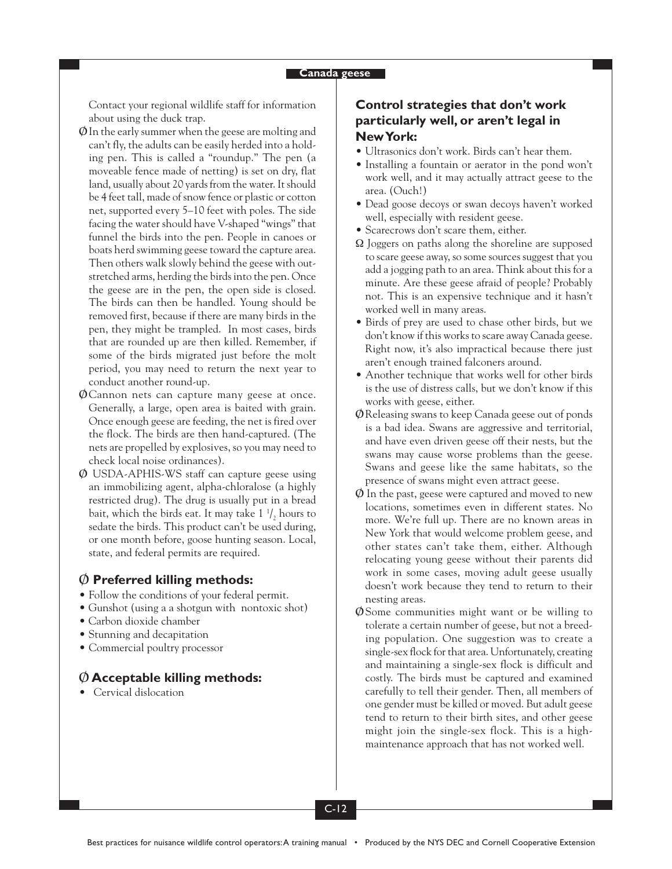Contact your regional wildlife staff for information about using the duck trap.

- **Ø**In the early summer when the geese are molting and can't fly, the adults can be easily herded into a holding pen. This is called a "roundup." The pen (a moveable fence made of netting) is set on dry, flat land, usually about 20 yards from the water. It should be 4 feet tall, made of snow fence or plastic or cotton net, supported every 5–10 feet with poles. The side facing the water should have V-shaped "wings" that funnel the birds into the pen. People in canoes or boats herd swimming geese toward the capture area. Then others walk slowly behind the geese with outstretched arms, herding the birds into the pen. Once the geese are in the pen, the open side is closed. The birds can then be handled. Young should be removed first, because if there are many birds in the pen, they might be trampled. In most cases, birds that are rounded up are then killed. Remember, if some of the birds migrated just before the molt period, you may need to return the next year to conduct another round-up.
- **Ø**Cannon nets can capture many geese at once. Generally, a large, open area is baited with grain. Once enough geese are feeding, the net is fired over the flock. The birds are then hand-captured. (The nets are propelled by explosives, so you may need to check local noise ordinances).
- **Ø** USDA-APHIS-WS staff can capture geese using an immobilizing agent, alpha-chloralose (a highly restricted drug). The drug is usually put in a bread bait, which the birds eat. It may take  $1\frac{1}{2}$  hours to sedate the birds. This product can't be used during, or one month before, goose hunting season. Local, state, and federal permits are required.

### **Ø Preferred killing methods:**

- Follow the conditions of your federal permit.
- Gunshot (using a a shotgun with nontoxic shot)
- Carbon dioxide chamber
- Stunning and decapitation
- Commercial poultry processor

# **Ø Acceptable killing methods:**

• Cervical dislocation

# **Control strategies that don't work particularly well, or aren't legal in New York:**

- Ultrasonics don't work. Birds can't hear them.
- Installing a fountain or aerator in the pond won't work well, and it may actually attract geese to the area. (Ouch!)
- Dead goose decoys or swan decoys haven't worked well, especially with resident geese.
- Scarecrows don't scare them, either.
- Ω Joggers on paths along the shoreline are supposed to scare geese away, so some sources suggest that you add a jogging path to an area. Think about this for a minute. Are these geese afraid of people? Probably not. This is an expensive technique and it hasn't worked well in many areas.
- Birds of prey are used to chase other birds, but we don't know if this works to scare away Canada geese. Right now, it's also impractical because there just aren't enough trained falconers around.
- Another technique that works well for other birds is the use of distress calls, but we don't know if this works with geese, either.
- **Ø**Releasing swans to keep Canada geese out of ponds is a bad idea. Swans are aggressive and territorial, and have even driven geese off their nests, but the swans may cause worse problems than the geese. Swans and geese like the same habitats, so the presence of swans might even attract geese.
- **Ø** In the past, geese were captured and moved to new locations, sometimes even in different states. No more. We're full up. There are no known areas in New York that would welcome problem geese, and other states can't take them, either. Although relocating young geese without their parents did work in some cases, moving adult geese usually doesn't work because they tend to return to their nesting areas.
- **Ø**Some communities might want or be willing to tolerate a certain number of geese, but not a breeding population. One suggestion was to create a single-sex flock for that area. Unfortunately, creating and maintaining a single-sex flock is difficult and costly. The birds must be captured and examined carefully to tell their gender. Then, all members of one gender must be killed or moved. But adult geese tend to return to their birth sites, and other geese might join the single-sex flock. This is a highmaintenance approach that has not worked well.